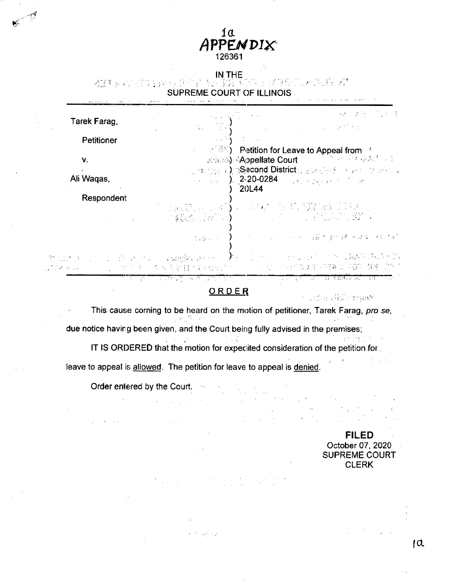

IN THE **• <sup>s</sup>** SUPREME COURT OF ILLINOIS

| Tarek Farag,                                  | $\label{eq:2} \frac{1}{\gamma_{\rm{max}}^2} \sum_{i=1}^{N} \sum_{j=1}^{N} \frac{1}{j} \sum_{j=1}^{N} \frac{1}{j} \sum_{j=1}^{N} \frac{1}{j} \sum_{j=1}^{N} \frac{1}{j} \sum_{j=1}^{N} \frac{1}{j} \sum_{j=1}^{N} \frac{1}{j} \sum_{j=1}^{N} \frac{1}{j} \sum_{j=1}^{N} \frac{1}{j} \sum_{j=1}^{N} \frac{1}{j} \sum_{j=1}^{N} \frac{1}{j} \sum_{j=1}^{N} \frac{1}{j}$                                                                 | (解决案件) 的复数                                                                                                                                                                                                                                                                                                                                                                                                                                             |
|-----------------------------------------------|--------------------------------------------------------------------------------------------------------------------------------------------------------------------------------------------------------------------------------------------------------------------------------------------------------------------------------------------------------------------------------------------------------------------------------------|--------------------------------------------------------------------------------------------------------------------------------------------------------------------------------------------------------------------------------------------------------------------------------------------------------------------------------------------------------------------------------------------------------------------------------------------------------|
| Petitioner                                    | $\label{eq:1} \mathcal{L}(\mathcal{L}) = \mathcal{L}(\mathcal{L}(\mathcal{L})) = \mathcal{L}(\mathcal{L}(\mathcal{L})) = \mathcal{L}(\mathcal{L}(\mathcal{L}))$                                                                                                                                                                                                                                                                      | $\label{eq:2.1} \mathcal{L}(\mathcal{L}^{\text{max}}_{\mathcal{L}^{\text{max}}_{\mathcal{L}^{\text{max}}_{\mathcal{L}^{\text{max}}_{\mathcal{L}^{\text{max}}_{\mathcal{L}^{\text{max}}_{\mathcal{L}^{\text{max}}_{\mathcal{L}^{\text{max}}_{\mathcal{L}^{\text{max}}_{\mathcal{L}^{\text{max}}_{\mathcal{L}^{\text{max}}_{\mathcal{L}^{\text{max}}_{\mathcal{L}^{\text{max}}_{\mathcal{L}^{\text{max}}_{\mathcal{L}^{\text{max}}_{\mathcal{L}^{\text{$ |
| $V_{\cdot}$                                   | $\mathbb{R}^n \to \mathbb{R}^n(\mathbb{R}^n)$ Petition for Leave to Appeal from $\mathbb{R}^n$                                                                                                                                                                                                                                                                                                                                       | <b>Bidのb) Appellate Court</b> コンプリー シスポネクト等                                                                                                                                                                                                                                                                                                                                                                                                            |
| $\mathcal{L} = \mathcal{L}$<br>Ali Waqas,     |                                                                                                                                                                                                                                                                                                                                                                                                                                      | - Joshiyy) な知ら <b>Second District</b> <sub>のありを</sub> うわる しょうかい ほうがいしょ                                                                                                                                                                                                                                                                                                                                                                                 |
| Respondent                                    | 20L44                                                                                                                                                                                                                                                                                                                                                                                                                                |                                                                                                                                                                                                                                                                                                                                                                                                                                                        |
|                                               | $\mathbb{E}[\mathbb{E}[\mathcal{L}(\mathcal{M})] \mathcal{L}(\mathcal{M})] \leq \sum_{i=1}^n \mathbb{E}[\mathbb{E}[\mathcal{L}(\mathcal{M})] \mathcal{L}(\mathcal{M})] \leq \mathbb{E}[\mathbb{E}[\mathcal{L}(\mathcal{M})] \mathcal{L}(\mathcal{M})] \leq \mathbb{E}[\mathbb{E}[\mathcal{L}(\mathcal{M})] \mathcal{L}(\mathcal{M})] \leq \mathbb{E}[\mathbb{E}[\mathcal{L}(\mathcal{M})] \mathcal{L}(\mathcal{M})] \leq \mathbb{E}$ |                                                                                                                                                                                                                                                                                                                                                                                                                                                        |
|                                               | - 2010 Table 2010 - 2010 College の add mode man man data                                                                                                                                                                                                                                                                                                                                                                             |                                                                                                                                                                                                                                                                                                                                                                                                                                                        |
| $\sigma^{\rm a}$ of the space of the $\sigma$ | a DAN SUNTA NG KALIMBALAN KANG AT ANG AKANG AKANG AKANG AKANG AKANG AKANG AKANG AKANG AKANG AKANG AKANG AKANG A<br>1. "我们的生命,有人可能是我们的人想到了,你们的人,我们可能不能更多的事务会 AQTE 餐桌 "这个"                                                                                                                                                                                                                                                             |                                                                                                                                                                                                                                                                                                                                                                                                                                                        |

# ORDER

**; {**

This cause corning to be heard on the motion of petitioner, Tarek Farag, *pro se,* due notice having been given, and the Court being fully advised in the premises; 最も ほし IT IS ORDERED that the motion for expedited consideration of the petition for **. ,** *r \* leave to appeal is allowed. The petition for leave to appeal is denied.

 $\sim 10^{11}$  and  $\sim 10^{11}$ 

Order entered by the Court.

 $\alpha$  and  $\beta$  .

**6** ■■

> P,  $\Delta \Omega$

**FILED** October 07, 2020 SUPREME COURT **CLERK**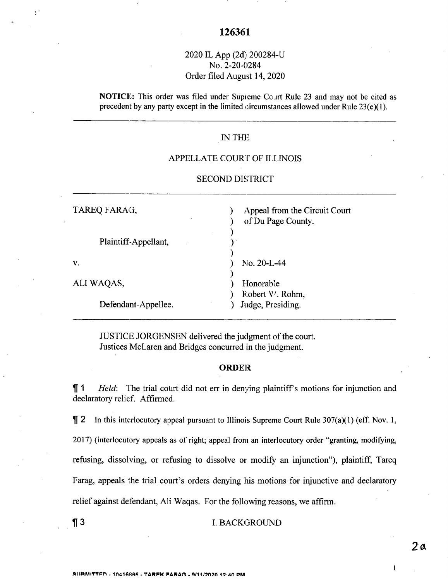# 2020 IL App (2d) 200284-U No. 2-20-0284 Order filed August 14, 2020

**NOTICE:** This order was filed under Supreme Co art Rule 23 and may not be cited as precedent by any party except in the limited circumstances allowed under Rule 23(e)(1).

# IN THE

# APPELLATE COURT OF ILLINOIS

## SECOND DISTRICT

| TAREQ FARAG,         | Appeal from the Circuit Court<br>of Du Page County. |
|----------------------|-----------------------------------------------------|
| Plaintiff-Appellant. |                                                     |
| V.                   | $No. 20-L-44$                                       |
| ALI WAQAS,           | Honorable<br>Fobert V. Rohm,                        |
| Defendant-Appellee.  | Judge, Presiding.                                   |

JUSTICE JORGENSEN delivered the judgment of the court. Justices McLaren and Bridges concurred in the judgment.

## **ORDER**

**1 1** *Held*: The trial court did not err in denying plaintiff's motions for injunction and declaratory relief. Affirmed.

 $\P$  2 In this interlocutory appeal pursuant to Illinois Supreme Court Rule 307(a)(1) (eff. Nov. 1, 2017) (interlocutory appeals as of right; appeal from an interlocutory order "granting, modifying, refusing, dissolving, or refusing to dissolve or modify an injunction"), plaintiff, Tareq Farag, appeals the trial court's orders denying his motions for injunctive and declaratory relief against defendant, Ali Waqas. For the following reasons, we affirm.

**11. BACKGROUND** 

\*1 IRMITTPn . 10410RRR . **TARPk PABArt . 0/11/9(190 19-40 PM**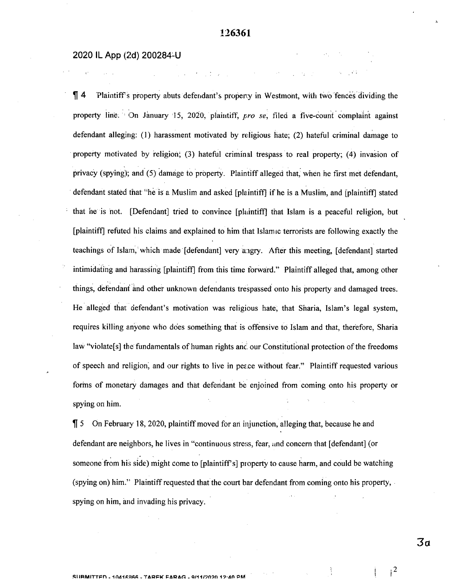### 2020 IL App (2d) 200284-U

 $\P$  4 Plaintiff's property abuts defendant's property in Westmont, with two fences dividing the property line. On January 15, 2020, plaintiff, *pro se,* filed a five-count complaint against defendant alleging: (1) harassment motivated by religious hate; (2) hateful criminal damage to property motivated by religion; (3) hateful criminal trespass to real property; (4) invasion of privacy (spying); and (5) damage to property. Plaintiff alleged that, when he first met defendant, defendant stated that "he is a Muslim and asked [plaintiff] if he is a Muslim, and [plaintiff] stated • that he is not. [Defendant] tried to convince [plaintiff] that Islam is a peaceful religion, but [plaintiff] refuted his claims and explained to him that Islamic terrorists are following exactly the teachings of Islam, which made [defendant] very aigry. After this meeting, [defendant] started intimidating and harassing [plaintiff] from this time forward." Plaintiff alleged that, among other things, defendant and other unknown defendants trespassed onto his property and damaged trees. He alleged that defendant's motivation was religious hate, that Sharia, Islam's legal system, requires killing anyone who does something that is offensive to Islam and that, therefore, Sharia law "violate[s] the fundamentals of human rights and our Constitutional protection of the freedoms of speech and religion, and our rights to live in peace without fear." Plaintiff requested various forms of monetary damages and that defendant be enjoined from coming onto his property or spying on him.

 $\[\,]$  5 On February 18, 2020, plaintiff moved for an injunction, alleging that, because he and defendant are neighbors, he lives in "continuous stress, fear, und concern that [defendant] (or someone from his side) might come to [plaintiff's] property to cause harm, and could be watching (spying on) him." Plaintiffrequested that the court bar defendant from coming onto his property, spying on him, and invading his privacy.

**<sup>I</sup> SlIRMITTPn . - TARFK PARAn . 0/11/9n9fl 19-AO PM**

*3a*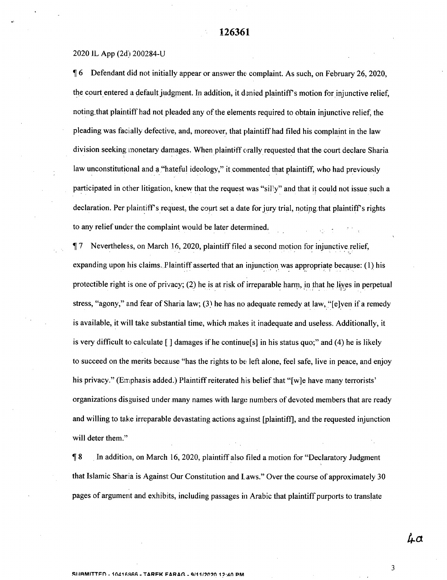#### 20201L App (2d)200284-U

1 6 Defendant did not initially appear or answer the: complaint. As such, on February 26, 2020, the court entered a default judgment. In addition, it denied plaintiff's motion for injunctive relief, noting that plaintiff had not pleaded any of the elements required to obtain injunctive relief, the pleading was facially defective, and, moreover, that plaintiff had filed his complaint in the law division seeking monetary damages. When plaintiff orally requested that the court declare Sharia law unconstitutional and a "hateful ideology," it commented that plaintiff, who had previously participated in other litigation, knew that the request was "silly" and that it could not issue such a declaration. Per plaintiff's request, the court set a date for jury trial, noting that plaintiff's rights to any relief under the complaint would be later determined.

1 7 Nevertheless, on March 16, 2020, plaintifffiled a second motion for injunctive relief, expanding upon his claims. Plaintiff asserted that an injunction was appropriate because: (1) his protectible right is one of privacy; (2) he is at risk of irreparable harm, in that he lives in perpetual stress, "agony," and fear of Sharia law; (3) he has no adequate remedy at law, "[e]ven if a remedy is available, it will take substantial time, which makes it inadequate and useless. Additionally, it is very difficult to calculate  $\lceil \cdot \rceil$  damages if he continue  $\lceil s \rceil$  in his status quo;" and (4) he is likely to succeed on the merits because "has the rights to be left alone, feel safe, live in peace, and enjoy his privacy." (Emphasis added.) Plaintiff reiterated his belief that "[w]e have many terrorists' organizations disguised under many names with large numbers of devoted members that are ready and willing to take irreparable devastating actions against [plaintiff], and the requested injunction will deter them."

**18** In addition, on March 16, 2020, plaintiff also filed a motion for "Declaratory Judgment that Islamic Sharia is Against Our Constitution and L aws." Over the course of approximately 30 pages of argument and exhibits, including passages in Arabic that plaintiffpurports to translate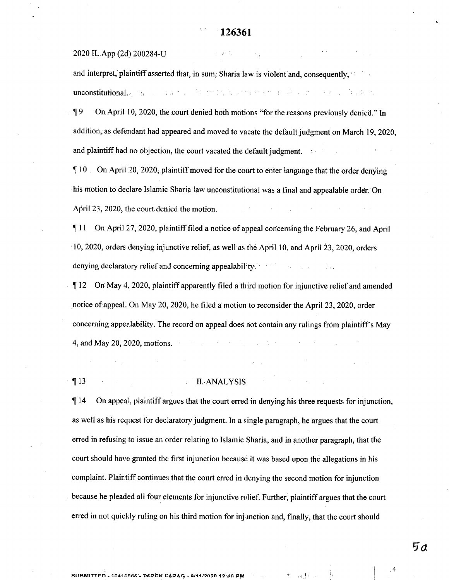#### 2020 IL App (2d) 200284-U

and interpret, plaintiff asserted that, in sum, Sharia law is violent and, consequently,  $\cdot$ unconstitutional. The constitution of the constitution of the constitution of the constitution of the constitution of the constitution of the constitution of the constitution of the constitution of the constitution of the

19 On April 10, 2020, the court denied both motions "for the reasons previously denied." In addition, as defendant had appeared and moved to vacate the default judgment on March 19, 2020, and plaintiff had no objection, the court vacated the default judgment.

**II0** On April 20, 2020, plaintiff moved for the court to enter language that the order denying his motion to declare Islamic Sharia law unconstitutional was a final and appealable order: On April 23, 2020, the court denied the motion.

111 On April. 27, 2020, plaintifffiled a notice of appeal concerning the February 26, and April 10\* 2020, orders denying injunctive relief, as well as the April 10, and April 23, 2020, orders denying declaratory relief and concerning appealability.

If 12 On May 4. 2020, plaintiff apparently filed a third motion for injunctive relief and amended notice of appeal. On May 20, 2020, he filed a motion to reconsider the April 23, 2020, order concerning appealability. The record on appeal does 'not contain any rulings from plaintiff's May 4, and May 20, 2020, motions.

#### **113** II. ANALYSIS

 $\P$  14 On appeal, plaintiff argues that the court erred in denying his three requests for injunction, as well as his request for declaratory judgment. In a single paragraph, he argues that the court erred in refusing to issue an order relating to Islamic Sharia, and in another paragraph, that the court should have granted the first injunction because it was based upon the allegations in his complaint. Plaintiff continues that the court erred in denying the second motion for injunction because he pleaded all four elements for injunctive relief. Further, plaintiff argues that the court erred in not quickly ruling on his third motion for injunction and, finally, that the court should

 $5a$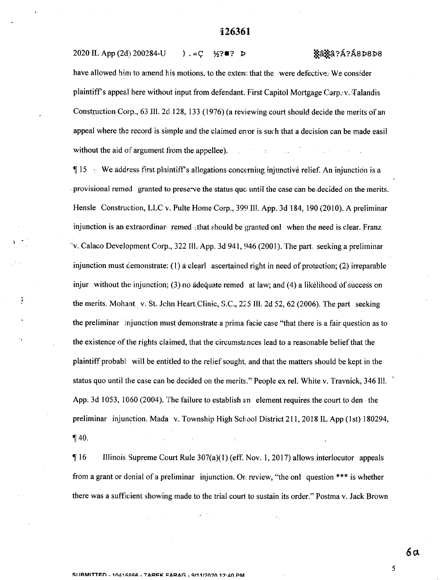$2020$  IL App (2d) 200284-U ) .= C  $\frac{1}{2}$  ?  $\blacksquare$  P  $\frac{1}{2}$   $\frac{1}{2}$   $\frac{1}{2}$   $\frac{1}{2}$   $\frac{1}{2}$   $\frac{1}{2}$   $\frac{1}{2}$   $\frac{1}{2}$   $\frac{1}{2}$   $\frac{1}{2}$   $\frac{1}{2}$   $\frac{1}{2}$   $\frac{1}{2}$   $\frac{1}{2}$   $\frac{1}{2}$   $\frac{1}{2}$   $\frac{1$ have allowed him to amend his motions, to the extern: that the were defective; We consider plaintiff's appeal here without input from defendant. First Capitol Mortgage Corp.  $v$ . Talandis Construction Carp., 63 Jll. 2d 128, 133 (1976) (a reviewing court should decide the merits of an

appeal where the record is simple and the claimed error is such that a decision can be made easil without the aid of argument from the appellee).

 $\P 15 \rightarrow$  We address first plaintiff's allegations concerning injunctive relief. An injunction is a provisional remed granted to preserve the status quo until the case can be decided on the merits. Hensle Construction, LLC v. Pulte Home Corp., 399 Ill. App. 3d 184, 190 (2010). A preliminar injunction is an extraordinar- remed -that should be granted only when the need is clear. Franz ' v. Calaco Development Corp., 322 Ill. App. 3d 941, 946 (2001). The part, seeking a preliminar injunction must demonstrate: (1) a clearl ascertained right in need of protection; (2) irreparable injur without the injunction; (3) no adequate remed at law; and (4) a likelihood of success on the merits. Mohant v. St. John Heart,Clinic, S.C., 225 Ill. 2d 52, 62 (2006). The part seeking the preliminar injunction must demonstrate a prima facie case "that there is a fair question as to the existence of the rights claimed, that the circumstances lead to a reasonable belief that the plaintiffprobabl will be entitled to the reliefsought, and that the matters should be kept in the status quo until the case can be decided on the merits." People ex rel. White v. Travnick, 346 Ill. App. 3d 1053, 1060 (2004). The failure to establish an element requires the court to den the preliminar injunction. Mada v. Township High School District 211, 2018 IL App (1st) 180294,  $\P$  40.

116 Illinois Supreme Court Rule 307(a)(1) (eff. Nov. 1, 2017) allows interlocutor appeals from a grant or denial of a preliminar injunction. Or. review, "the onl question \*\*\* is whether there was a sufficient showing made to the trial court to sustain its order." Postma v. Jack Brown

ă.

**6a**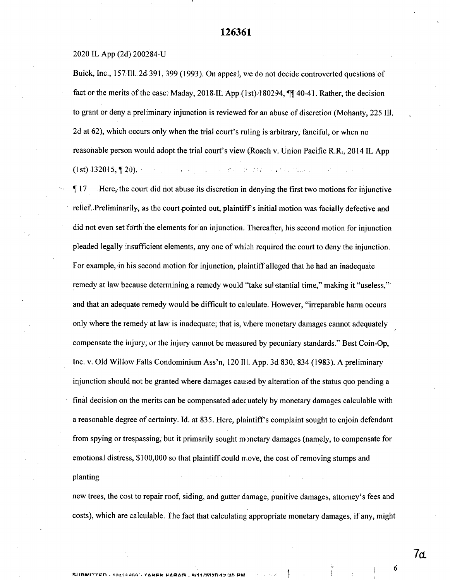#### 2020 IL App (2d) 200284-U

Buick, Inc., 157 Ill. 2d 391, 399 (1993). On appeal, we do not decide controverted questions of fact or the merits of the case. Maday, 2018 IL App (1st) $\cdot$ 180294,  $\P\P$  40-41. Rather, the decision to grant or deny a preliminary injunction is reviewed for an abuse of discretion (Mohanty, 225 Ill. 2d at 62), which occurs only when the trial court's ruling is arbitrary, fanciful, or when no reasonable person would adopt the trial court's view (Roach v. Union Pacific R.R., 2014 IL App (1st)  $132015$ ,  $\P$   $20$ ). The contraction of the contraction of the contraction of the contraction of the contraction of the contraction of the contraction of the contraction of the contraction of the contraction of the

 $\P 17$  Here, the court did not abuse its discretion in denying the first two motions for injunctive relief. Preliminarily, as the court pointed out, plaintiffs initial motion was facially defective and did not even set forth the elements for an injunction. Thereafter, his second motion for injunction pleaded legally insufficient elements, any one ofwhich required the court to deny the injunction. For example, in his second motion for injunction, plaintiff alleged that he had an inadequate remedy at law because determining a remedy would "take substantial time," making it "useless," and that an adequate remedy would be difficult to calculate. However, "irreparable harm occurs only where the remedy at law is inadequate; that is, v/here monetary damages cannot adequately compensate the injury, or the injury cannot be measured by pecuniary standards." Best Coin-Op, Inc. v. Old Willow Falls Condominium Ass'n, 120 III. App. 3d 830, 834 (1983). A preliminary injunction should not be granted where damages caused by alteration of the status quo pending a final decision on the merits can be compensated adecuately by monetary damages calculable with a reasonable degree of certainty. Id. at 835. Here, plaintiffs complaint sought to enjoin defendant from spying or trespassing, but it primarily sought monetary damages (namely, to compensate for emotional distress,  $$100,000$  so that plaintiff could move, the cost of removing stumps and planting

new trees, the cost to repair roof, siding, and gutter damage, punitive damages, attorney's fees and costs), which are calculable. The fact that calculating; appropriate monetary damages, if any, might

**7cl**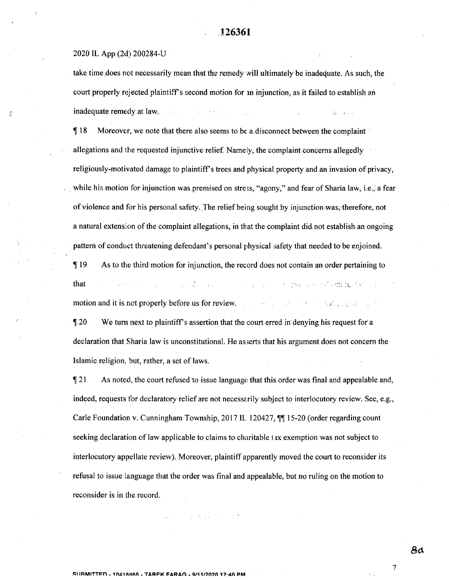### 2020 IL App (2d) 200284-U

take time does not necessarily mean that the remedy will ultimately be inadequate. As such, the court properly rejected plaintiff's second motion for an injunction, as it failed to establish an  $\beta$  inadequate remedy at law.

> $\P$  18 Moreover, we note that there also seems to be a disconnect between the complaint allegations and the requested injunctive relief. Namely, the complaint concerns allegedly religiously-motivated damage to plaintiff's trees and physical property and an invasion of privacy, ; while his motion for injunction was premised on stress, "agony," and fear of Sharia law, i.e., a fear of violence and for his personal safety. The relief being sought by injunction was, therefore, not a natural extension ofthe complaint allegations, in that the complaint did, not establish an ongoing pattern of conduct threatening defendant's personal physical safety that needed to be enjoined.

119 As to the third motion for injunction, the record does not contain an order pertaining to that **• ' • -.r, :t** motion and it is not properly before us for review.

120 We turn next to plaintiffs assertion that the court erred in denying his request for a declaration that Sharia law is unconstitutional. He asserts that his argument does not concern the Islamic religion, but, rather, a set of laws.

 $\sqrt{21}$  As noted, the court refused to issue language that this order was final and appealable and, indeed, requests for declaratory relief are not necessarily subject to interlocutory review. See, e.g., Carle Foundation v. Cunningham Township, 2017 IL 120427, ¶¶ 15-20 (order regarding count seeking declaration of law applicable to claims to charitable tax exemption was not subject to interlocutory appellate review). Moreover, plaintiff apparently moved the court to reconsider its refusal to issue language that the order was final and appealable, but no ruling on the motion to reconsider is in the record.

**Contractor**